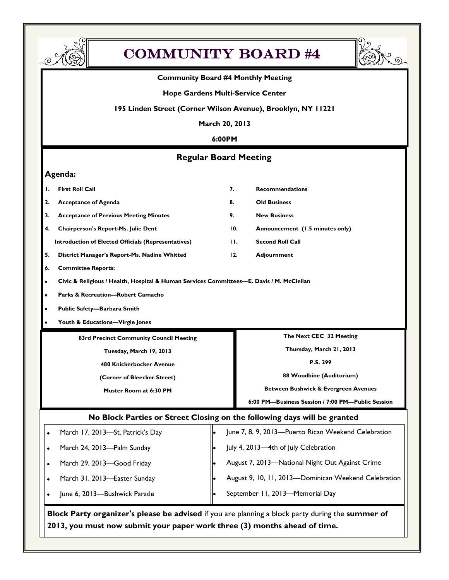

## COMMUNITY BOARD #4

#### **Community Board #4 Monthly Meeting**

#### **Hope Gardens Multi-Service Center**

#### **195 Linden Street (Corner Wilson Avenue), Brooklyn, NY 11221**

**March 20, 2013**

#### **6:00PM**

#### **Regular Board Meeting**

#### **Agenda:**

- **1. First Roll Call 7. Recommendations**
- **2. Acceptance of Agenda 8. Old Business**
- **3. Acceptance of Previous Meeting Minutes 9. New Business**
- **4. Chairperson's Report-Ms. Julie Dent 10. Announcement (1.5 minutes only)**
- **Introduction of Elected Officials (Representatives) 11. Second Roll Call**
- **5. District Manager's Report-Ms. Nadine Whitted 12. Adjournment**
- **6. Committee Reports:**
- **Civic & Religious / Health, Hospital & Human Services Committees—E. Davis / M. McClellan**
- **Parks & Recreation—Robert Camacho**
- **Public Safety—Barbara Smith**
- **Youth & Educations—Virgie Jones**
	- **83rd Precinct Community Council Meeting**
		- **Tuesday, March 19, 2013**
		- **480 Knickerbocker Avenue**
		- **(Corner of Bleecker Street)**
			- **Muster Room at 6:30 PM**
- **The Next CEC 32 Meeting**
- **Thursday, March 21, 2013**
	- **P.S. 299**
- **88 Woodbine (Auditorium)**
- **Between Bushwick & Evergreen Avenues**
- **6:00 PM—Business Session / 7:00 PM—Public Session**

#### **No Block Parties or Street Closing on the following days will be granted**

| March 17, 2013-St. Patrick's Day | June 7, 8, 9, 2013-Puerto Rican Weekend Celebration  |
|----------------------------------|------------------------------------------------------|
| March 24, 2013-Palm Sunday       | July 4, 2013-4th of July Celebration                 |
| March 29, 2013-Good Friday       | August 7, 2013-National Night Out Against Crime      |
| March 31, 2013-Easter Sunday     | August 9, 10, 11, 2013-Dominican Weekend Celebration |
| June 6, 2013-Bushwick Parade     | September 11, 2013-Memorial Day                      |

**Block Party organizer's please be advised** if you are planning a block party during the **summer of 2013, you must now submit your paper work three (3) months ahead of time.**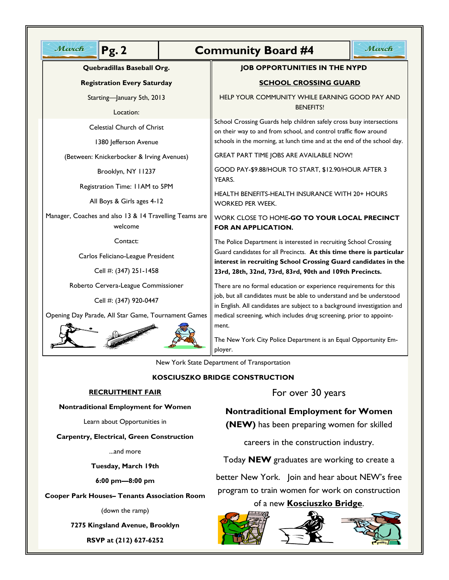| March<br>Pg.2                                                                                               |  | March<br><b>Community Board #4</b>                                                                                                                                                                                                                                     |  |  |  |
|-------------------------------------------------------------------------------------------------------------|--|------------------------------------------------------------------------------------------------------------------------------------------------------------------------------------------------------------------------------------------------------------------------|--|--|--|
| Quebradillas Baseball Org.<br><b>Registration Every Saturday</b><br>Starting-January 5th, 2013<br>Location: |  | <b>JOB OPPORTUNITIES IN THE NYPD</b>                                                                                                                                                                                                                                   |  |  |  |
|                                                                                                             |  | <b>SCHOOL CROSSING GUARD</b>                                                                                                                                                                                                                                           |  |  |  |
|                                                                                                             |  | HELP YOUR COMMUNITY WHILE EARNING GOOD PAY AND<br><b>BENEFITS!</b>                                                                                                                                                                                                     |  |  |  |
| Celestial Church of Christ<br>1380 Jefferson Avenue                                                         |  | School Crossing Guards help children safely cross busy intersections<br>on their way to and from school, and control traffic flow around<br>schools in the morning, at lunch time and at the end of the school day.                                                    |  |  |  |
| (Between: Knickerbocker & Irving Avenues)                                                                   |  | GREAT PART TIME JOBS ARE AVAILABLE NOW!                                                                                                                                                                                                                                |  |  |  |
| Brooklyn, NY 11237                                                                                          |  | GOOD PAY-\$9.88/HOUR TO START, \$12.90/HOUR AFTER 3                                                                                                                                                                                                                    |  |  |  |
| Registration Time: I IAM to 5PM<br>All Boys & Girls ages 4-12                                               |  | YEARS.<br>HEALTH BENEFITS-HEALTH INSURANCE WITH 20+ HOURS<br>WORKED PER WEEK.                                                                                                                                                                                          |  |  |  |
| Manager, Coaches and also 13 & 14 Travelling Teams are<br>welcome                                           |  | WORK CLOSE TO HOME-GO TO YOUR LOCAL PRECINCT<br>FOR AN APPLICATION.                                                                                                                                                                                                    |  |  |  |
| Contact:                                                                                                    |  | The Police Department is interested in recruiting School Crossing<br>Guard candidates for all Precincts. At this time there is particular<br>interest in recruiting School Crossing Guard candidates in the<br>23rd, 28th, 32nd, 73rd, 83rd, 90th and 109th Precincts. |  |  |  |
| Carlos Feliciano-League President                                                                           |  |                                                                                                                                                                                                                                                                        |  |  |  |
| Cell #: (347) 251-1458                                                                                      |  |                                                                                                                                                                                                                                                                        |  |  |  |
| Roberto Cervera-League Commissioner                                                                         |  | There are no formal education or experience requirements for this                                                                                                                                                                                                      |  |  |  |
| Cell #: (347) 920-0447                                                                                      |  | job, but all candidates must be able to understand and be understood<br>in English. All candidates are subject to a background investigation and                                                                                                                       |  |  |  |
| Opening Day Parade, All Star Game, Tournament Games                                                         |  | medical screening, which includes drug screening, prior to appoint-                                                                                                                                                                                                    |  |  |  |
|                                                                                                             |  | ment.<br>The New York City Police Department is an Equal Opportunity Em-<br>ployer.                                                                                                                                                                                    |  |  |  |
| New York State Department of Transportation                                                                 |  |                                                                                                                                                                                                                                                                        |  |  |  |

#### **KOSCIUSZKO BRIDGE CONSTRUCTION**

#### **RECRUITMENT FAIR**

**Nontraditional Employment for Women**

Learn about Opportunities in

**Carpentry, Electrical, Green Construction**

...and more

**Tuesday, March 19th**

**6:00 pm—8:00 pm**

**Cooper Park Houses– Tenants Association Room**

(down the ramp)

**7275 Kingsland Avenue, Brooklyn**

**RSVP at (212) 627-6252**

#### For over 30 years

**Nontraditional Employment for Women** 

**(NEW)** has been preparing women for skilled

careers in the construction industry.

Today **NEW** graduates are working to create a

better New York. Join and hear about NEW's free program to train women for work on construction

#### of a new **Kosciuszko Bridge**.



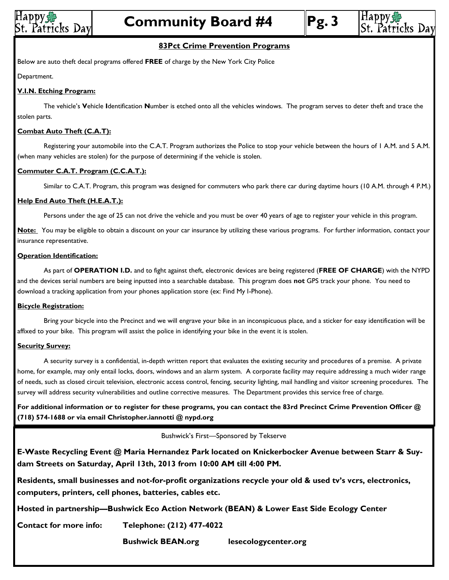





#### **83Pct Crime Prevention Programs**

Below are auto theft decal programs offered **FREE** of charge by the New York City Police

Department.

#### **V.I.N. Etching Program:**

The vehicle's **V**ehicle **I**dentification **N**umber is etched onto all the vehicles windows. The program serves to deter theft and trace the stolen parts.

#### **Combat Auto Theft (C.A.T):**

Registering your automobile into the C.A.T. Program authorizes the Police to stop your vehicle between the hours of 1 A.M. and 5 A.M. (when many vehicles are stolen) for the purpose of determining if the vehicle is stolen.

#### **Commuter C.A.T. Program (C.C.A.T.):**

Similar to C.A.T. Program, this program was designed for commuters who park there car during daytime hours (10 A.M. through 4 P.M.)

#### **Help End Auto Theft (H.E.A.T.):**

Persons under the age of 25 can not drive the vehicle and you must be over 40 years of age to register your vehicle in this program.

**Note:** You may be eligible to obtain a discount on your car insurance by utilizing these various programs. For further information, contact your insurance representative.

#### **Operation Identification:**

As part of **OPERATION I.D.** and to fight against theft, electronic devices are being registered (**FREE OF CHARGE**) with the NYPD and the devices serial numbers are being inputted into a searchable database. This program does **not** GPS track your phone. You need to download a tracking application from your phones application store (ex: Find My I-Phone).

#### **Bicycle Registration:**

Bring your bicycle into the Precinct and we will engrave your bike in an inconspicuous place, and a sticker for easy identification will be affixed to your bike. This program will assist the police in identifying your bike in the event it is stolen.

#### **Security Survey:**

A security survey is a confidential, in-depth written report that evaluates the existing security and procedures of a premise. A private home, for example, may only entail locks, doors, windows and an alarm system. A corporate facility may require addressing a much wider range of needs, such as closed circuit television, electronic access control, fencing, security lighting, mail handling and visitor screening procedures. The survey will address security vulnerabilities and outline corrective measures. The Department provides this service free of charge.

**For additional information or to register for these programs, you can contact the 83rd Precinct Crime Prevention Officer @ (718) 574-1688 or via email Christopher.iannotti @ nypd.org**

Bushwick's First—Sponsored by Tekserve

**E-Waste Recycling Event @ Maria Hernandez Park located on Knickerbocker Avenue between Starr & Suydam Streets on Saturday, April 13th, 2013 from 10:00 AM till 4:00 PM.**

**Residents, small businesses and not-for-profit organizations recycle your old & used tv's vcrs, electronics, computers, printers, cell phones, batteries, cables etc.**

**Hosted in partnership—Bushwick Eco Action Network (BEAN) & Lower East Side Ecology Center**

**Contact for more info: Telephone: (212) 477-4022**

**Bushwick BEAN.org lesecologycenter.org**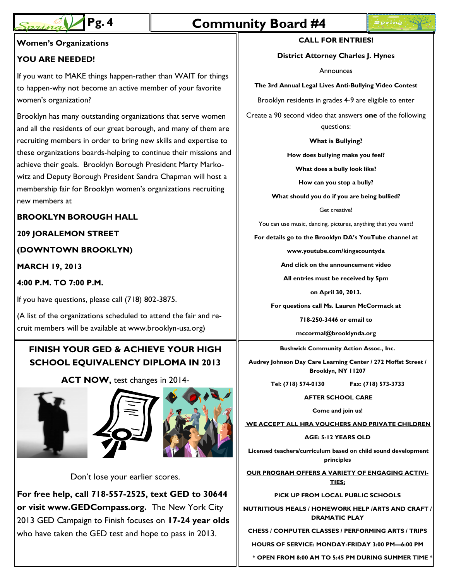# **Pg. 4 Community Board #4**

#### **Women's Organizations CALL FOR ENTRIES!**

#### **YOU ARE NEEDED!**

If you want to MAKE things happen-rather than WAIT for things to happen-why not become an active member of your favorite women's organization?

Brooklyn has many outstanding organizations that serve women and all the residents of our great borough, and many of them are recruiting members in order to bring new skills and expertise to these organizations boards-helping to continue their missions and achieve their goals. Brooklyn Borough President Marty Markowitz and Deputy Borough President Sandra Chapman will host a membership fair for Brooklyn women's organizations recruiting new members at

#### **BROOKLYN BOROUGH HALL**

#### **209 JORALEMON STREET**

#### **(DOWNTOWN BROOKLYN)**

**MARCH 19, 2013**

#### **4:00 P.M. TO 7:00 P.M.**

If you have questions, please call (718) 802-3875.

(A list of the organizations scheduled to attend the fair and recruit members will be available at www.brooklyn-usa.org)

## **FINISH YOUR GED & ACHIEVE YOUR HIGH SCHOOL EQUIVALENCY DIPLOMA IN 2013**

**ACT NOW,** test changes in 2014-







Don't lose your earlier scores.

**For free help, call 718-557-2525, text GED to 30644 or visit www.GEDCompass.org.** The New York City 2013 GED Campaign to Finish focuses on **17-24 year olds**  who have taken the GED test and hope to pass in 2013.

#### **District Attorney Charles J. Hynes**

Announces

**The 3rd Annual Legal Lives Anti-Bullying Video Contest**

Brooklyn residents in grades 4-9 are eligible to enter

Create a 90 second video that answers **one** of the following questions:

#### **What is Bullying?**

**How does bullying make you feel?**

**What does a bully look like?**

**How can you stop a bully?**

**What should you do if you are being bullied?**

Get creative!

You can use music, dancing, pictures, anything that you want!

**For details go to the Brooklyn DA's YouTube channel at** 

**www.youtube.com/kingscountyda**

**And click on the announcement video**

**All entries must be received by 5pm** 

**on April 30, 2013.**

**For questions call Ms. Lauren McCormack at** 

**718-250-3446 or email to** 

**mccormal@brooklynda.org**

**Bushwick Community Action Assoc., Inc.** 

**Audrey Johnson Day Care Learning Center / 272 Moffat Street / Brooklyn, NY 11207**

**Tel: (718) 574-0130 Fax: (718) 573-3733**

**AFTER SCHOOL CARE**

**Come and join us!**

**WE ACCEPT ALL HRA VOUCHERS AND PRIVATE CHILDREN**

**AGE: 5-12 YEARS OLD**

**Licensed teachers/curriculum based on child sound development principles**

**OUR PROGRAM OFFERS A VARIETY OF ENGAGING ACTIVI-TIES;**

**PICK UP FROM LOCAL PUBLIC SCHOOLS**

**NUTRITIOUS MEALS / HOMEWORK HELP /ARTS AND CRAFT / DRAMATIC PLAY**

**CHESS / COMPUTER CLASSES / PERFORMING ARTS / TRIPS**

**HOURS OF SERVICE: MONDAY-FRIDAY 3:00 PM—6:00 PM**

 **\* OPEN FROM 8:00 AM TO 5:45 PM DURING SUMMER TIME \***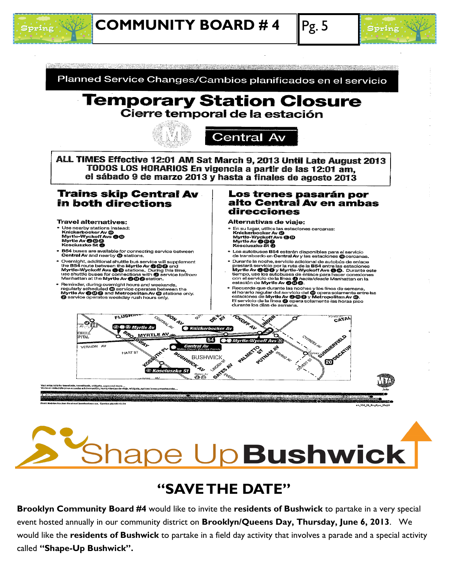



Planned Service Changes/Cambios planificados en el servicio

#### **Temporary Station Closure** Cierre temporal de la estación **Central Av** ALL TIMES Effective 12:01 AM Sat March 9, 2013 Until Late August 2013 TODOS LOS HORARIOS En vigencia a partir de las 12:01 am. el sábado 9 de marzo 2013 y hasta a finales de agosto 2013 **Trains skip Central Av** Los trenes pasarán por alto Central Av en ambas in both directions direcciones **Travel alternatives:** Alternativas de viaje: "<br>
" Use nearby stations instead:<br>
Knickerbocker Av @<br>
Myrtle Av @@@<br>
Kosciuszko St @ En su lugar, utilice las estaciones cercanas: Knickerbocker Av @<br>Myrtle-Wyckoff Avs @ @<br>Myrtle Av @ @ @<br>Kosciuszko St @ • B54 buses are available for connecting service between<br>Central Av and nearby @ stations. Los autobuses B54 estarán disponibles para el servicio<br>de transbordo en Central Av y las estaciones **M**ecercanas. **Contrain Avenue and The Secure Secure Secure 12 Security Contrainers**<br>Covernight, additional shuttle bus service will supplement<br>the B54 route between the Myrtle Av **To OD** and<br>myrtle-Wyckoff Ave **The Secure Secure Securi** Durante la noche, servicio adicional de autobús de enlace<br>Durante la noche, servicio adicional de autobús de enlace<br>Myrtle Av **@**@ y Myrtle-Wyckoff Avs **@**@. Durante est<br>tiempo, use los autobuses de enlace para hacer cone • Reminder, during overnight hours and weekends,<br>regularly scheduled @ service operates between the<br>Myrtle Av @ @ and Metropolitan Av @ stations or Recuerde que durante las noches y los fines de semana,<br>el horario regular del servicio del @ opera solamente entre las<br>estaciones de Myrtle Av @ @ & y Metropolitan Av @.<br>El servicio de la línea @ opera solamente las horas only. Service operates weekday rush hours only. durante los días de semana. SON AV TCKORK AV FLUSHIN CENTRAL AL **OFFER** CATAL m S ®⊗ Murtie Av **W** Knick **SROAMYR DHULÍ MYRTLE AV** REFERE PITAL **CAMARICA** VERNON AV **ED** OFFICATION **ENGLISH**<br>EUSHWICH<br>EUGIST CONSTA HART ST ܐ **BUSHWICK WARDER CARL ESTATE** MN. Galus Av<br>**பூ & ?** 104 13 EngSpa 17x

# **Rape Up Bushwick |**

## **―SAVE THE DATE‖**

**Brooklyn Community Board #4** would like to invite the **residents of Bushwick** to partake in a very special event hosted annually in our community district on **Brooklyn/Queens Day, Thursday, June 6, 2013**. We would like the **residents of Bushwick** to partake in a field day activity that involves a parade and a special activity called "Shape-Up Bushwick".